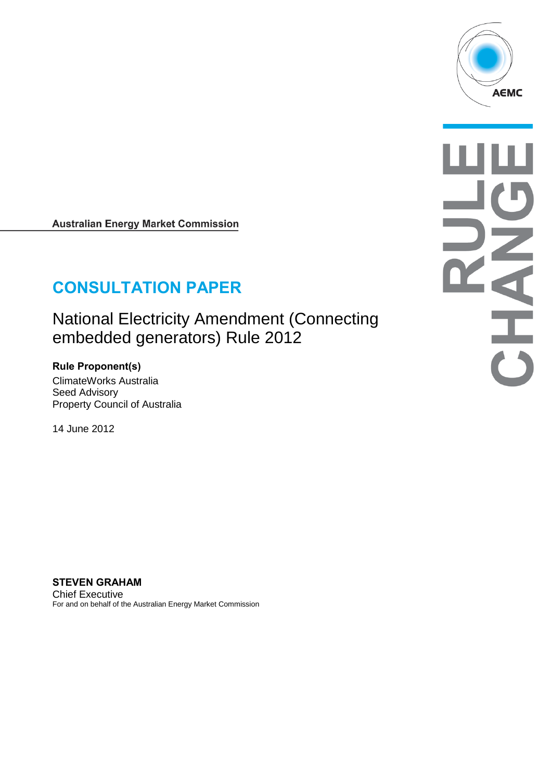

**READER** 

**Australian Energy Market Commission** 

# **CONSULTATION PAPER**

National Electricity Amendment (Connecting embedded generators) Rule 2012

**Rule Proponent(s)** ClimateWorks Australia Seed Advisory Property Council of Australia

14 June 2012

**STEVEN GRAHAM** Chief Executive For and on behalf of the Australian Energy Market Commission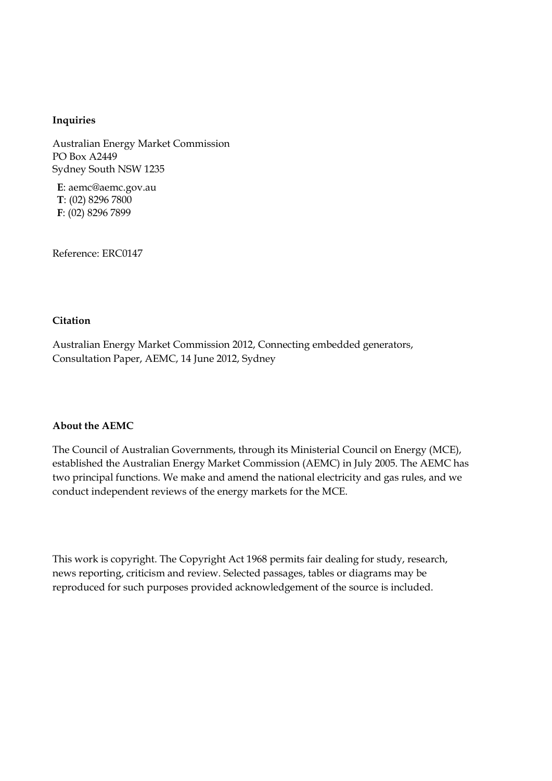#### **Inquiries**

Australian Energy Market Commission PO Box A2449 Sydney South NSW 1235

**E**: aemc@aemc.gov.au **T**: (02) 8296 7800 **F**: (02) 8296 7899

Reference: ERC0147

#### **Citation**

Australian Energy Market Commission 2012, Connecting embedded generators, Consultation Paper, AEMC, 14 June 2012, Sydney

#### **About the AEMC**

The Council of Australian Governments, through its Ministerial Council on Energy (MCE), established the Australian Energy Market Commission (AEMC) in July 2005. The AEMC has two principal functions. We make and amend the national electricity and gas rules, and we conduct independent reviews of the energy markets for the MCE.

This work is copyright. The Copyright Act 1968 permits fair dealing for study, research, news reporting, criticism and review. Selected passages, tables or diagrams may be reproduced for such purposes provided acknowledgement of the source is included.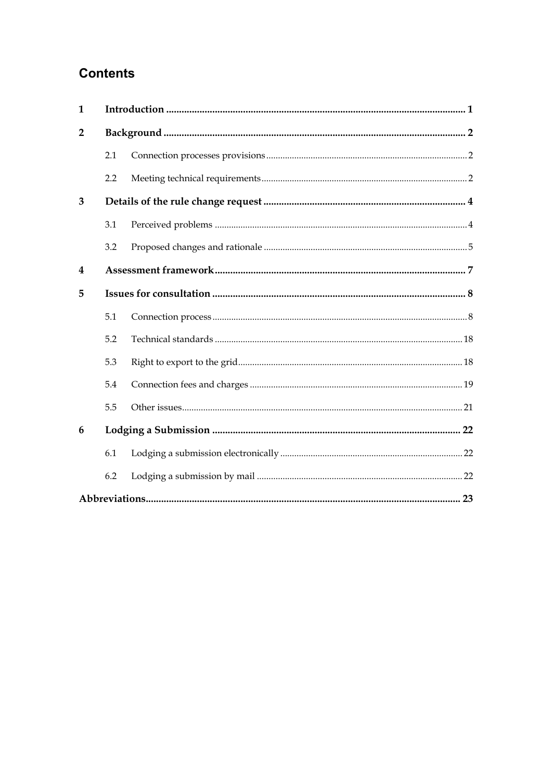## **Contents**

| $\mathbf{1}$            |     |  |  |  |
|-------------------------|-----|--|--|--|
| $\overline{2}$          |     |  |  |  |
|                         | 2.1 |  |  |  |
|                         | 2.2 |  |  |  |
| 3                       |     |  |  |  |
|                         | 3.1 |  |  |  |
|                         | 3.2 |  |  |  |
| $\overline{\mathbf{4}}$ |     |  |  |  |
| 5                       |     |  |  |  |
|                         | 5.1 |  |  |  |
|                         | 5.2 |  |  |  |
|                         | 5.3 |  |  |  |
|                         | 5.4 |  |  |  |
|                         | 5.5 |  |  |  |
| 6                       |     |  |  |  |
|                         | 6.1 |  |  |  |
|                         | 6.2 |  |  |  |
|                         |     |  |  |  |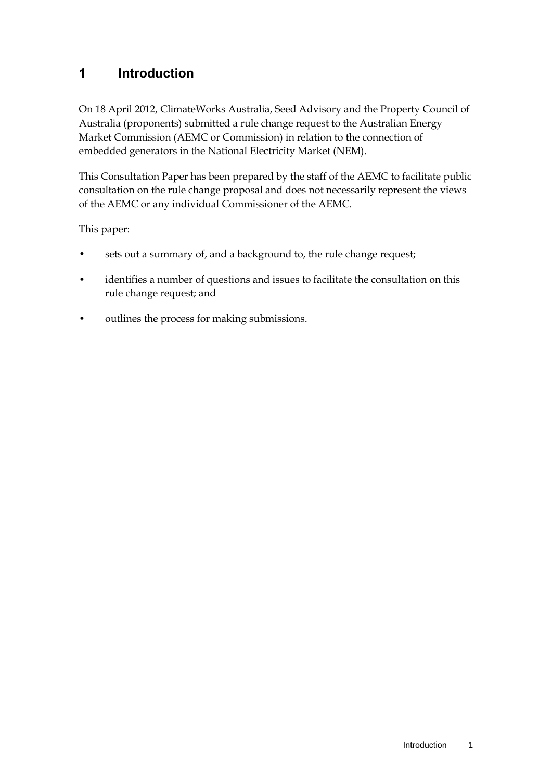## <span id="page-4-0"></span>**1 Introduction**

On 18 April 2012, ClimateWorks Australia, Seed Advisory and the Property Council of Australia (proponents) submitted a rule change request to the Australian Energy Market Commission (AEMC or Commission) in relation to the connection of embedded generators in the National Electricity Market (NEM).

This Consultation Paper has been prepared by the staff of the AEMC to facilitate public consultation on the rule change proposal and does not necessarily represent the views of the AEMC or any individual Commissioner of the AEMC.

This paper:

- sets out a summary of, and a background to, the rule change request;
- identifies a number of questions and issues to facilitate the consultation on this rule change request; and
- outlines the process for making submissions.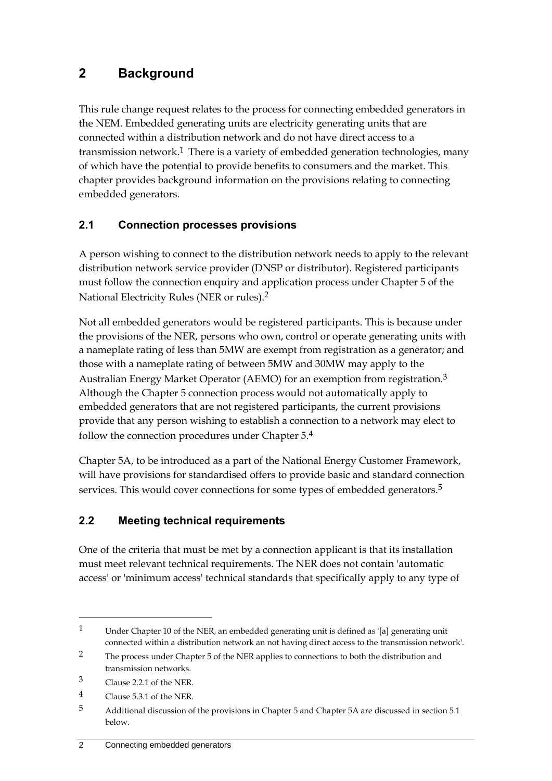## <span id="page-5-0"></span>**2 Background**

This rule change request relates to the process for connecting embedded generators in the NEM. Embedded generating units are electricity generating units that are connected within a distribution network and do not have direct access to a transmission network.<sup>1</sup> There is a variety of embedded generation technologies, many of which have the potential to provide benefits to consumers and the market. This chapter provides background information on the provisions relating to connecting embedded generators.

## <span id="page-5-1"></span>**2.1 Connection processes provisions**

A person wishing to connect to the distribution network needs to apply to the relevant distribution network service provider (DNSP or distributor). Registered participants must follow the connection enquiry and application process under Chapter 5 of the National Electricity Rules (NER or rules).2

Not all embedded generators would be registered participants. This is because under the provisions of the NER, persons who own, control or operate generating units with a nameplate rating of less than 5MW are exempt from registration as a generator; and those with a nameplate rating of between 5MW and 30MW may apply to the Australian Energy Market Operator (AEMO) for an exemption from registration.<sup>3</sup> Although the Chapter 5 connection process would not automatically apply to embedded generators that are not registered participants, the current provisions provide that any person wishing to establish a connection to a network may elect to follow the connection procedures under Chapter 5.4

Chapter 5A, to be introduced as a part of the National Energy Customer Framework, will have provisions for standardised offers to provide basic and standard connection services. This would cover connections for some types of embedded generators.<sup>5</sup>

## <span id="page-5-2"></span>**2.2 Meeting technical requirements**

One of the criteria that must be met by a connection applicant is that its installation must meet relevant technical requirements. The NER does not contain 'automatic access' or 'minimum access' technical standards that specifically apply to any type of

<sup>1</sup> Under Chapter 10 of the NER, an embedded generating unit is defined as '[a] generating unit connected within a distribution network an not having direct access to the transmission network'.

<sup>2</sup> The process under Chapter 5 of the NER applies to connections to both the distribution and transmission networks.

<sup>3</sup> Clause 2.2.1 of the NER.

<sup>4</sup> Clause 5.3.1 of the NER.

<sup>5</sup> Additional discussion of the provisions in Chapter 5 and Chapter 5A are discussed in section 5.1 below.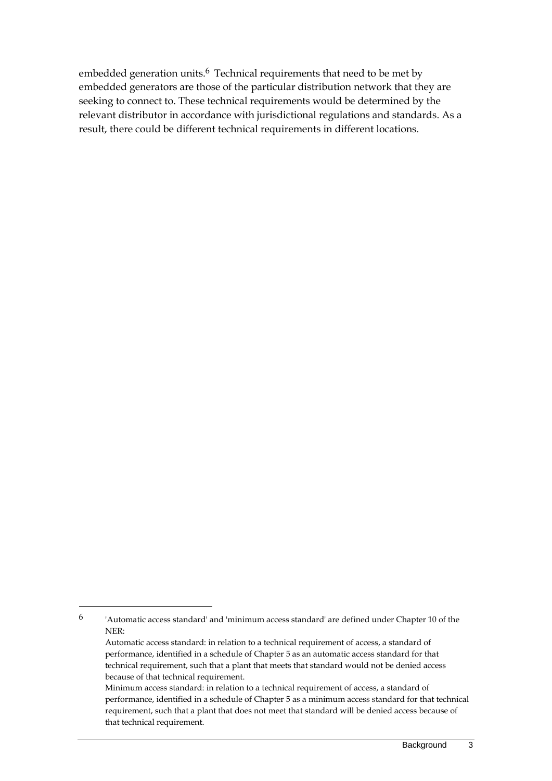embedded generation units.<sup>6</sup> Technical requirements that need to be met by embedded generators are those of the particular distribution network that they are seeking to connect to. These technical requirements would be determined by the relevant distributor in accordance with jurisdictional regulations and standards. As a result, there could be different technical requirements in different locations.

<sup>6</sup> 'Automatic access standard' and 'minimum access standard' are defined under Chapter 10 of the NER:

Automatic access standard: in relation to a technical requirement of access, a standard of performance, identified in a schedule of Chapter 5 as an automatic access standard for that technical requirement, such that a plant that meets that standard would not be denied access because of that technical requirement.

Minimum access standard: in relation to a technical requirement of access, a standard of performance, identified in a schedule of Chapter 5 as a minimum access standard for that technical requirement, such that a plant that does not meet that standard will be denied access because of that technical requirement.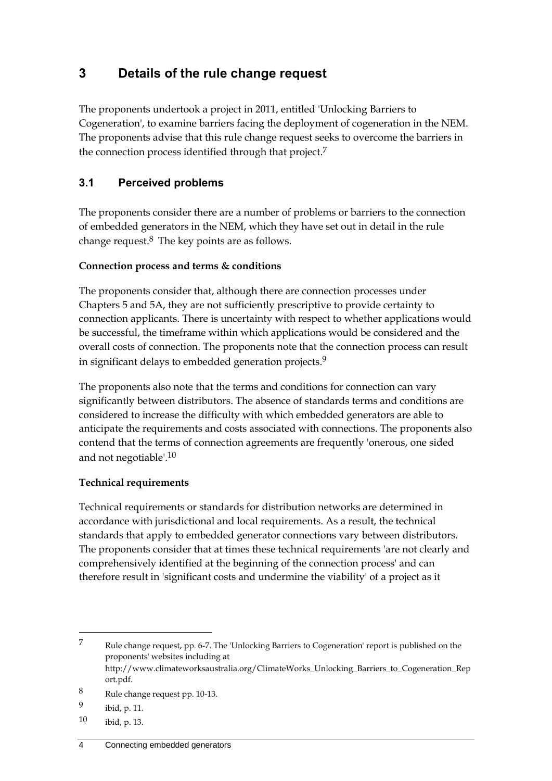## <span id="page-7-0"></span>**3 Details of the rule change request**

The proponents undertook a project in 2011, entitled 'Unlocking Barriers to Cogeneration', to examine barriers facing the deployment of cogeneration in the NEM. The proponents advise that this rule change request seeks to overcome the barriers in the connection process identified through that project.7

## <span id="page-7-1"></span>**3.1 Perceived problems**

The proponents consider there are a number of problems or barriers to the connection of embedded generators in the NEM, which they have set out in detail in the rule change request.8 The key points are as follows.

#### **Connection process and terms & conditions**

The proponents consider that, although there are connection processes under Chapters 5 and 5A, they are not sufficiently prescriptive to provide certainty to connection applicants. There is uncertainty with respect to whether applications would be successful, the timeframe within which applications would be considered and the overall costs of connection. The proponents note that the connection process can result in significant delays to embedded generation projects.<sup>9</sup>

The proponents also note that the terms and conditions for connection can vary significantly between distributors. The absence of standards terms and conditions are considered to increase the difficulty with which embedded generators are able to anticipate the requirements and costs associated with connections. The proponents also contend that the terms of connection agreements are frequently 'onerous, one sided and not negotiable'.10

#### **Technical requirements**

Technical requirements or standards for distribution networks are determined in accordance with jurisdictional and local requirements. As a result, the technical standards that apply to embedded generator connections vary between distributors. The proponents consider that at times these technical requirements 'are not clearly and comprehensively identified at the beginning of the connection process' and can therefore result in 'significant costs and undermine the viability' of a project as it

<sup>7</sup> Rule change request, pp. 6-7. The 'Unlocking Barriers to Cogeneration' report is published on the proponents' websites including at http://www.climateworksaustralia.org/ClimateWorks\_Unlocking\_Barriers\_to\_Cogeneration\_Rep ort.pdf.

<sup>8</sup> Rule change request pp. 10-13.

<sup>9</sup> ibid, p. 11.

<sup>10</sup> ibid, p. 13.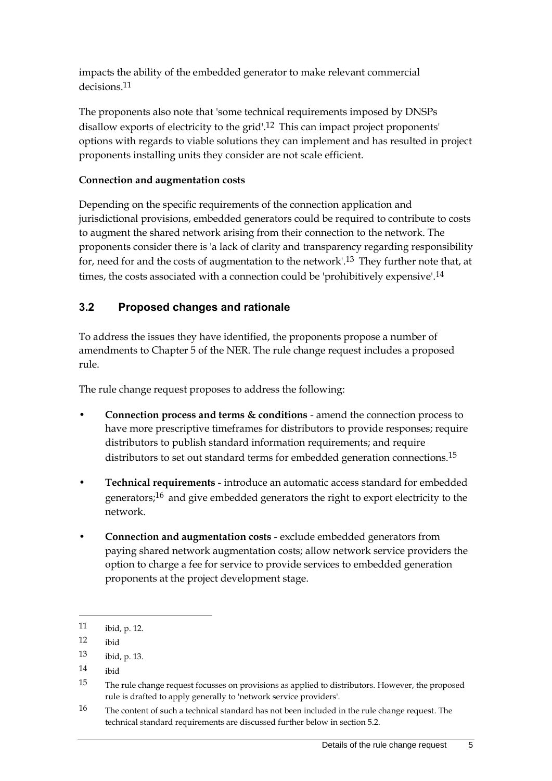impacts the ability of the embedded generator to make relevant commercial decisions.<sup>11</sup>

The proponents also note that 'some technical requirements imposed by DNSPs disallow exports of electricity to the grid'.12 This can impact project proponents' options with regards to viable solutions they can implement and has resulted in project proponents installing units they consider are not scale efficient.

### **Connection and augmentation costs**

Depending on the specific requirements of the connection application and jurisdictional provisions, embedded generators could be required to contribute to costs to augment the shared network arising from their connection to the network. The proponents consider there is 'a lack of clarity and transparency regarding responsibility for, need for and the costs of augmentation to the network'.13 They further note that, at times, the costs associated with a connection could be 'prohibitively expensive'.<sup>14</sup>

## <span id="page-8-0"></span>**3.2 Proposed changes and rationale**

To address the issues they have identified, the proponents propose a number of amendments to Chapter 5 of the NER. The rule change request includes a proposed rule.

The rule change request proposes to address the following:

- **Connection process and terms & conditions** amend the connection process to have more prescriptive timeframes for distributors to provide responses; require distributors to publish standard information requirements; and require distributors to set out standard terms for embedded generation connections.<sup>15</sup>
- **Technical requirements** introduce an automatic access standard for embedded generators;16 and give embedded generators the right to export electricity to the network.
- **Connection and augmentation costs** exclude embedded generators from paying shared network augmentation costs; allow network service providers the option to charge a fee for service to provide services to embedded generation proponents at the project development stage.

<sup>11</sup> ibid, p. 12.

<sup>12</sup> ibid

<sup>13</sup> ibid, p. 13.

<sup>14</sup> ibid

<sup>15</sup> The rule change request focusses on provisions as applied to distributors. However, the proposed rule is drafted to apply generally to 'network service providers'.

<sup>16</sup> The content of such a technical standard has not been included in the rule change request. The technical standard requirements are discussed further below in section 5.2.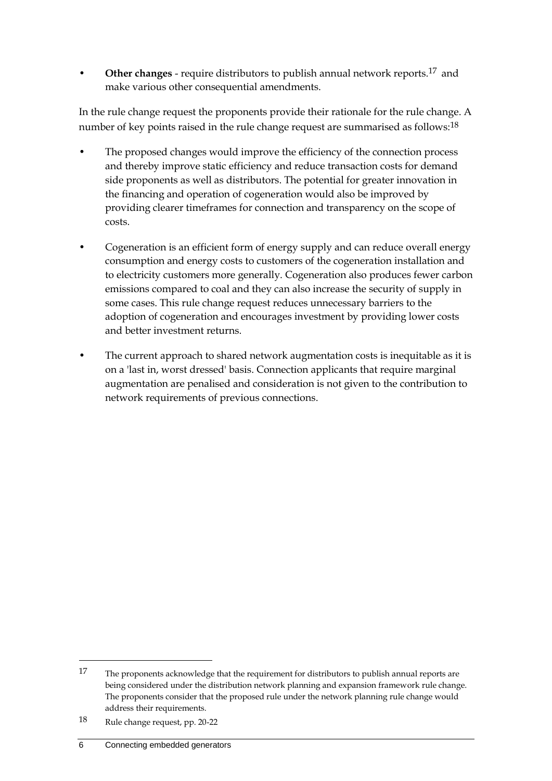• **Other changes** - require distributors to publish annual network reports.17 and make various other consequential amendments.

In the rule change request the proponents provide their rationale for the rule change. A number of key points raised in the rule change request are summarised as follows:18

- The proposed changes would improve the efficiency of the connection process and thereby improve static efficiency and reduce transaction costs for demand side proponents as well as distributors. The potential for greater innovation in the financing and operation of cogeneration would also be improved by providing clearer timeframes for connection and transparency on the scope of costs.
- Cogeneration is an efficient form of energy supply and can reduce overall energy consumption and energy costs to customers of the cogeneration installation and to electricity customers more generally. Cogeneration also produces fewer carbon emissions compared to coal and they can also increase the security of supply in some cases. This rule change request reduces unnecessary barriers to the adoption of cogeneration and encourages investment by providing lower costs and better investment returns.
- The current approach to shared network augmentation costs is inequitable as it is on a 'last in, worst dressed' basis. Connection applicants that require marginal augmentation are penalised and consideration is not given to the contribution to network requirements of previous connections.

<sup>17</sup> The proponents acknowledge that the requirement for distributors to publish annual reports are being considered under the distribution network planning and expansion framework rule change. The proponents consider that the proposed rule under the network planning rule change would address their requirements.

<sup>18</sup> Rule change request, pp. 20-22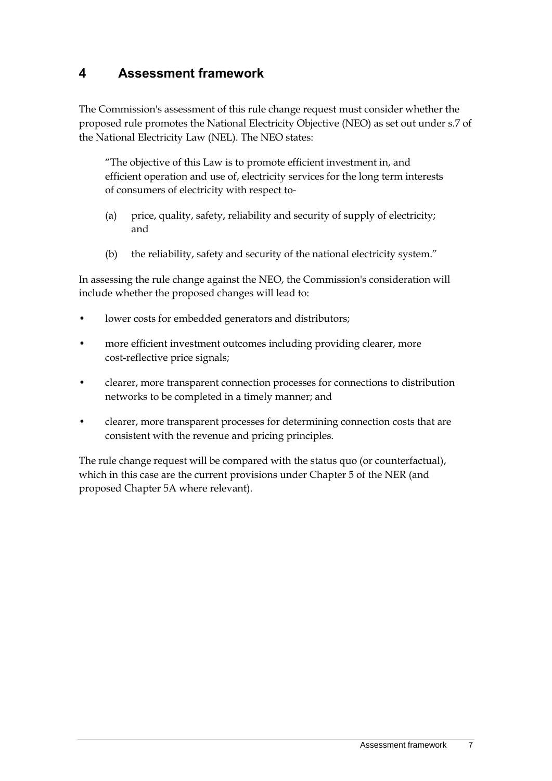## <span id="page-10-0"></span>**4 Assessment framework**

The Commission's assessment of this rule change request must consider whether the proposed rule promotes the National Electricity Objective (NEO) as set out under s.7 of the National Electricity Law (NEL). The NEO states:

"The objective of this Law is to promote efficient investment in, and efficient operation and use of, electricity services for the long term interests of consumers of electricity with respect to-

- (a) price, quality, safety, reliability and security of supply of electricity; and
- (b) the reliability, safety and security of the national electricity system."

In assessing the rule change against the NEO, the Commission's consideration will include whether the proposed changes will lead to:

- lower costs for embedded generators and distributors;
- more efficient investment outcomes including providing clearer, more cost-reflective price signals;
- clearer, more transparent connection processes for connections to distribution networks to be completed in a timely manner; and
- clearer, more transparent processes for determining connection costs that are consistent with the revenue and pricing principles.

The rule change request will be compared with the status quo (or counterfactual), which in this case are the current provisions under Chapter 5 of the NER (and proposed Chapter 5A where relevant).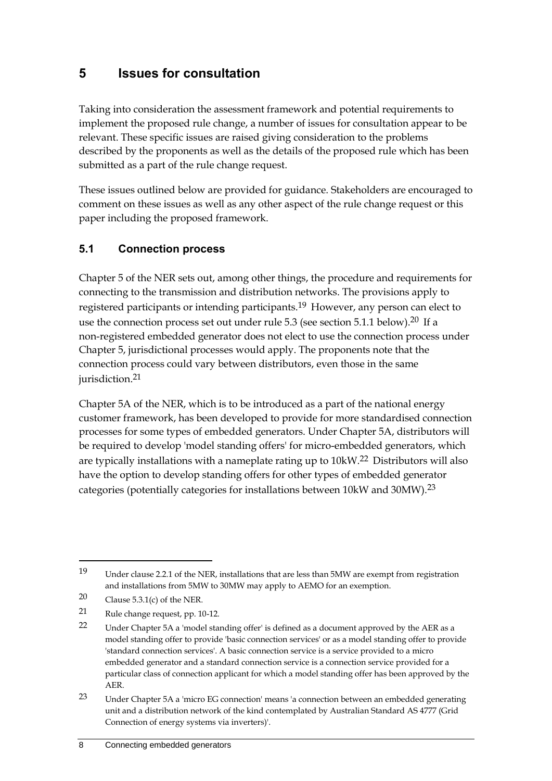## <span id="page-11-0"></span>**5 Issues for consultation**

Taking into consideration the assessment framework and potential requirements to implement the proposed rule change, a number of issues for consultation appear to be relevant. These specific issues are raised giving consideration to the problems described by the proponents as well as the details of the proposed rule which has been submitted as a part of the rule change request.

These issues outlined below are provided for guidance. Stakeholders are encouraged to comment on these issues as well as any other aspect of the rule change request or this paper including the proposed framework.

### <span id="page-11-1"></span>**5.1 Connection process**

Chapter 5 of the NER sets out, among other things, the procedure and requirements for connecting to the transmission and distribution networks. The provisions apply to registered participants or intending participants.19 However, any person can elect to use the connection process set out under rule 5.3 (see section 5.1.1 below).20 If a non-registered embedded generator does not elect to use the connection process under Chapter 5, jurisdictional processes would apply. The proponents note that the connection process could vary between distributors, even those in the same jurisdiction.<sup>21</sup>

Chapter 5A of the NER, which is to be introduced as a part of the national energy customer framework, has been developed to provide for more standardised connection processes for some types of embedded generators. Under Chapter 5A, distributors will be required to develop 'model standing offers' for micro-embedded generators, which are typically installations with a nameplate rating up to 10kW.22 Distributors will also have the option to develop standing offers for other types of embedded generator categories (potentially categories for installations between 10kW and 30MW).23

<sup>19</sup> Under clause 2.2.1 of the NER, installations that are less than 5MW are exempt from registration and installations from 5MW to 30MW may apply to AEMO for an exemption.

<sup>20</sup> Clause 5.3.1(c) of the NER.

<sup>21</sup> Rule change request, pp. 10-12.

<sup>22</sup> Under Chapter 5A a 'model standing offer' is defined as a document approved by the AER as a model standing offer to provide 'basic connection services' or as a model standing offer to provide 'standard connection services'. A basic connection service is a service provided to a micro embedded generator and a standard connection service is a connection service provided for a particular class of connection applicant for which a model standing offer has been approved by the AER.

<sup>23</sup> Under Chapter 5A a 'micro EG connection' means 'a connection between an embedded generating unit and a distribution network of the kind contemplated by Australian Standard AS 4777 (Grid Connection of energy systems via inverters)'.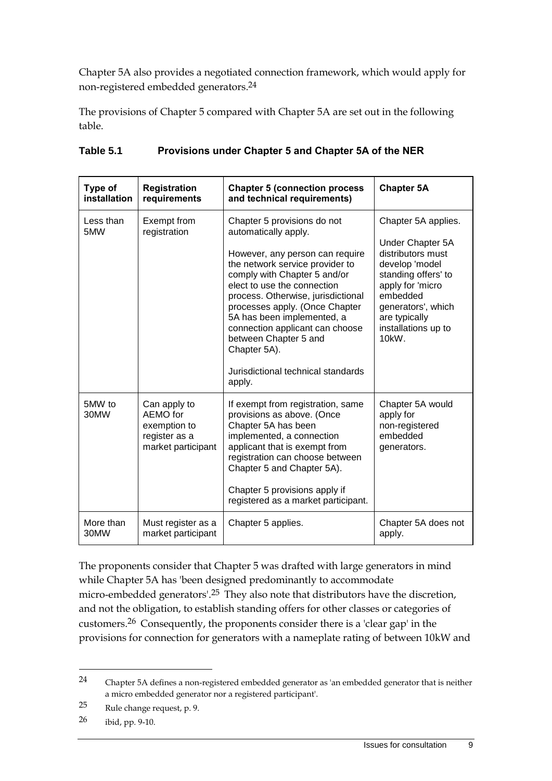Chapter 5A also provides a negotiated connection framework, which would apply for non-registered embedded generators. 24

The provisions of Chapter 5 compared with Chapter 5A are set out in the following table.

| Type of          | <b>Registration</b>                                                             | <b>Chapter 5 (connection process)</b>                                                                                                                                                                                                                                                                                                                                                                                      | <b>Chapter 5A</b>                                                                                                                                                                                            |
|------------------|---------------------------------------------------------------------------------|----------------------------------------------------------------------------------------------------------------------------------------------------------------------------------------------------------------------------------------------------------------------------------------------------------------------------------------------------------------------------------------------------------------------------|--------------------------------------------------------------------------------------------------------------------------------------------------------------------------------------------------------------|
| installation     | requirements                                                                    | and technical requirements)                                                                                                                                                                                                                                                                                                                                                                                                |                                                                                                                                                                                                              |
| Less than<br>5MW | Exempt from<br>registration                                                     | Chapter 5 provisions do not<br>automatically apply.<br>However, any person can require<br>the network service provider to<br>comply with Chapter 5 and/or<br>elect to use the connection<br>process. Otherwise, jurisdictional<br>processes apply. (Once Chapter<br>5A has been implemented, a<br>connection applicant can choose<br>between Chapter 5 and<br>Chapter 5A).<br>Jurisdictional technical standards<br>apply. | Chapter 5A applies.<br>Under Chapter 5A<br>distributors must<br>develop 'model<br>standing offers' to<br>apply for 'micro<br>embedded<br>generators', which<br>are typically<br>installations up to<br>10kW. |
| 5MW to<br>30MW   | Can apply to<br>AEMO for<br>exemption to<br>register as a<br>market participant | If exempt from registration, same<br>provisions as above. (Once<br>Chapter 5A has been<br>implemented, a connection<br>applicant that is exempt from<br>registration can choose between<br>Chapter 5 and Chapter 5A).<br>Chapter 5 provisions apply if<br>registered as a market participant.                                                                                                                              | Chapter 5A would<br>apply for<br>non-registered<br>embedded<br>generators.                                                                                                                                   |
| More than        | Must register as a                                                              | Chapter 5 applies.                                                                                                                                                                                                                                                                                                                                                                                                         | Chapter 5A does not                                                                                                                                                                                          |
| 30MW             | market participant                                                              |                                                                                                                                                                                                                                                                                                                                                                                                                            | apply.                                                                                                                                                                                                       |

#### **Table 5.1 Provisions under Chapter 5 and Chapter 5A of the NER**

The proponents consider that Chapter 5 was drafted with large generators in mind while Chapter 5A has 'been designed predominantly to accommodate micro-embedded generators'.25 They also note that distributors have the discretion, and not the obligation, to establish standing offers for other classes or categories of customers.26 Consequently, the proponents consider there is a 'clear gap' in the provisions for connection for generators with a nameplate rating of between 10kW and

<sup>24</sup> Chapter 5A defines a non-registered embedded generator as 'an embedded generator that is neither a micro embedded generator nor a registered participant'.

<sup>25</sup> Rule change request, p. 9.

<sup>26</sup> ibid, pp. 9-10.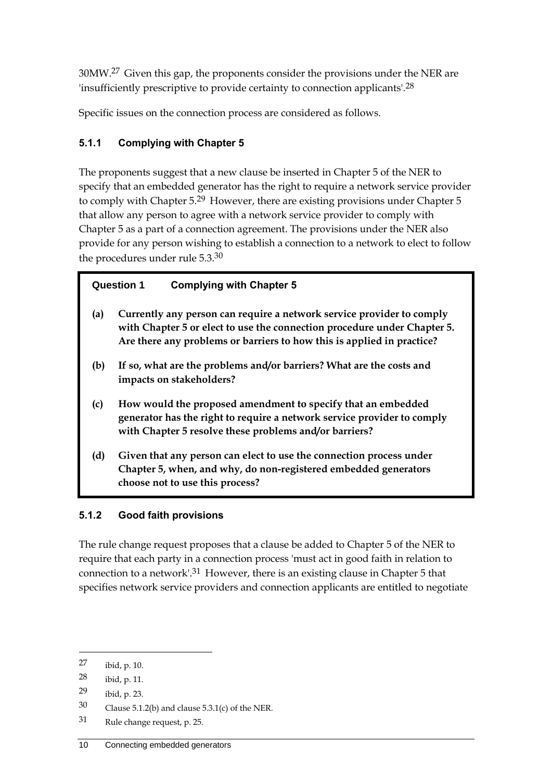30MW.27 Given this gap, the proponents consider the provisions under the NER are 'insufficiently prescriptive to provide certainty to connection applicants'.28

Specific issues on the connection process are considered as follows.

## **5.1.1 Complying with Chapter 5**

The proponents suggest that a new clause be inserted in Chapter 5 of the NER to specify that an embedded generator has the right to require a network service provider to comply with Chapter 5.<sup>29</sup> However, there are existing provisions under Chapter 5 that allow any person to agree with a network service provider to comply with Chapter 5 as a part of a connection agreement. The provisions under the NER also provide for any person wishing to establish a connection to a network to elect to follow the procedures under rule 5.3.30

## **Question 1 Complying with Chapter 5**

- **(a) Currently any person can require a network service provider to comply with Chapter 5 or elect to use the connection procedure under Chapter 5. Are there any problems or barriers to how this is applied in practice?**
- **(b) If so, what are the problems and/or barriers? What are the costs and impacts on stakeholders?**
- **(c) How would the proposed amendment to specify that an embedded generator has the right to require a network service provider to comply with Chapter 5 resolve these problems and/or barriers?**
- **(d) Given that any person can elect to use the connection process under Chapter 5, when, and why, do non-registered embedded generators choose not to use this process?**

## **5.1.2 Good faith provisions**

The rule change request proposes that a clause be added to Chapter 5 of the NER to require that each party in a connection process 'must act in good faith in relation to connection to a network'.31 However, there is an existing clause in Chapter 5 that specifies network service providers and connection applicants are entitled to negotiate

<sup>27</sup> ibid, p. 10.

<sup>28</sup> ibid, p. 11.

<sup>29</sup> ibid, p. 23.

<sup>30</sup> Clause 5.1.2(b) and clause 5.3.1(c) of the NER.

<sup>31</sup> Rule change request, p. 25.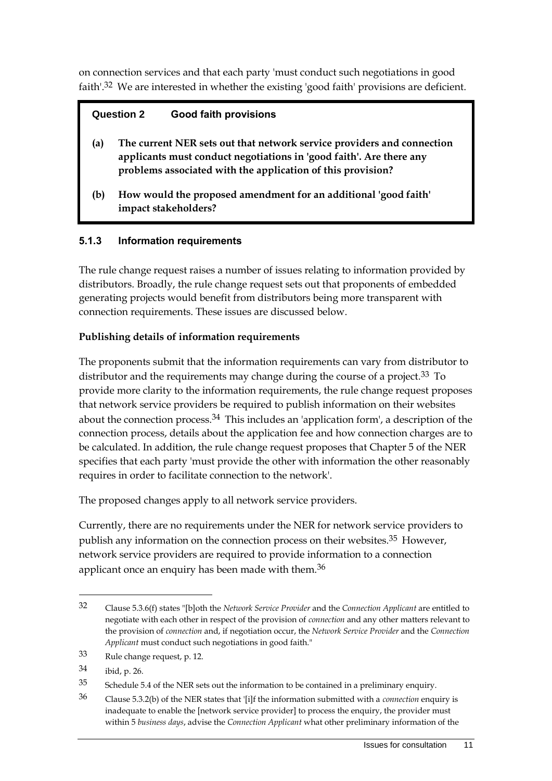on connection services and that each party 'must conduct such negotiations in good faith<sup>'.32</sup> We are interested in whether the existing 'good faith' provisions are deficient.

#### **Question 2 Good faith provisions**

- **(a) The current NER sets out that network service providers and connection applicants must conduct negotiations in 'good faith'. Are there any problems associated with the application of this provision?**
- **(b) How would the proposed amendment for an additional 'good faith' impact stakeholders?**

### **5.1.3 Information requirements**

The rule change request raises a number of issues relating to information provided by distributors. Broadly, the rule change request sets out that proponents of embedded generating projects would benefit from distributors being more transparent with connection requirements. These issues are discussed below.

#### **Publishing details of information requirements**

The proponents submit that the information requirements can vary from distributor to distributor and the requirements may change during the course of a project.<sup>33</sup> To provide more clarity to the information requirements, the rule change request proposes that network service providers be required to publish information on their websites about the connection process.34 This includes an 'application form', a description of the connection process, details about the application fee and how connection charges are to be calculated. In addition, the rule change request proposes that Chapter 5 of the NER specifies that each party 'must provide the other with information the other reasonably requires in order to facilitate connection to the network'.

The proposed changes apply to all network service providers.

Currently, there are no requirements under the NER for network service providers to publish any information on the connection process on their websites.35 However, network service providers are required to provide information to a connection applicant once an enquiry has been made with them.<sup>36</sup>

<u>.</u>

35 Schedule 5.4 of the NER sets out the information to be contained in a preliminary enquiry.

<sup>32</sup> Clause 5.3.6(f) states "[b]oth the *Network Service Provider* and the *Connection Applicant* are entitled to negotiate with each other in respect of the provision of *connection* and any other matters relevant to the provision of *connection* and, if negotiation occur, the *Network Service Provider* and the *Connection Applicant* must conduct such negotiations in good faith."

<sup>33</sup> Rule change request, p. 12.

<sup>34</sup> ibid, p. 26.

<sup>36</sup> Clause 5.3.2(b) of the NER states that '[i]f the information submitted with a *connection* enquiry is inadequate to enable the [network service provider] to process the enquiry, the provider must within 5 *business days*, advise the *Connection Applicant* what other preliminary information of the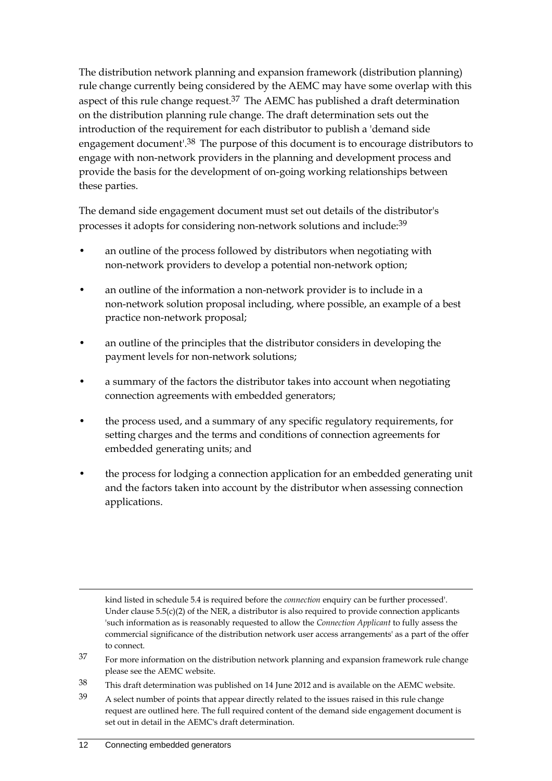The distribution network planning and expansion framework (distribution planning) rule change currently being considered by the AEMC may have some overlap with this aspect of this rule change request.<sup>37</sup> The AEMC has published a draft determination on the distribution planning rule change. The draft determination sets out the introduction of the requirement for each distributor to publish a 'demand side engagement document'.38 The purpose of this document is to encourage distributors to engage with non-network providers in the planning and development process and provide the basis for the development of on-going working relationships between these parties.

The demand side engagement document must set out details of the distributor's processes it adopts for considering non-network solutions and include:39

- an outline of the process followed by distributors when negotiating with non-network providers to develop a potential non-network option;
- an outline of the information a non-network provider is to include in a non-network solution proposal including, where possible, an example of a best practice non-network proposal;
- an outline of the principles that the distributor considers in developing the payment levels for non-network solutions;
- a summary of the factors the distributor takes into account when negotiating connection agreements with embedded generators;
- the process used, and a summary of any specific regulatory requirements, for setting charges and the terms and conditions of connection agreements for embedded generating units; and
- the process for lodging a connection application for an embedded generating unit and the factors taken into account by the distributor when assessing connection applications.

- <sup>37</sup> For more information on the distribution network planning and expansion framework rule change please see the AEMC website.
- 38 This draft determination was published on 14 June 2012 and is available on the AEMC website.
- 39 A select number of points that appear directly related to the issues raised in this rule change request are outlined here. The full required content of the demand side engagement document is set out in detail in the AEMC's draft determination.

kind listed in schedule 5.4 is required before the *connection* enquiry can be further processed'. Under clause  $5.5(c)(2)$  of the NER, a distributor is also required to provide connection applicants 'such information as is reasonably requested to allow the *Connection Applicant* to fully assess the commercial significance of the distribution network user access arrangements' as a part of the offer to connect.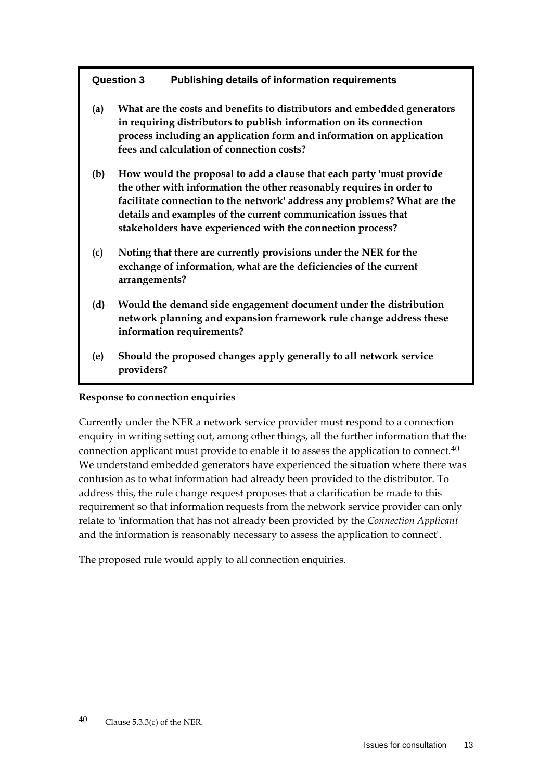#### **Question 3 Publishing details of information requirements**

- **(a) What are the costs and benefits to distributors and embedded generators in requiring distributors to publish information on its connection process including an application form and information on application fees and calculation of connection costs?**
- **(b) How would the proposal to add a clause that each party 'must provide the other with information the other reasonably requires in order to facilitate connection to the network' address any problems? What are the details and examples of the current communication issues that stakeholders have experienced with the connection process?**
- **(c) Noting that there are currently provisions under the NER for the exchange of information, what are the deficiencies of the current arrangements?**
- **(d) Would the demand side engagement document under the distribution network planning and expansion framework rule change address these information requirements?**
- **(e) Should the proposed changes apply generally to all network service providers?**

#### **Response to connection enquiries**

Currently under the NER a network service provider must respond to a connection enquiry in writing setting out, among other things, all the further information that the connection applicant must provide to enable it to assess the application to connect.40 We understand embedded generators have experienced the situation where there was confusion as to what information had already been provided to the distributor. To address this, the rule change request proposes that a clarification be made to this requirement so that information requests from the network service provider can only relate to 'information that has not already been provided by the *Connection Applicant* and the information is reasonably necessary to assess the application to connect'.

The proposed rule would apply to all connection enquiries.

<sup>40</sup> Clause 5.3.3(c) of the NER.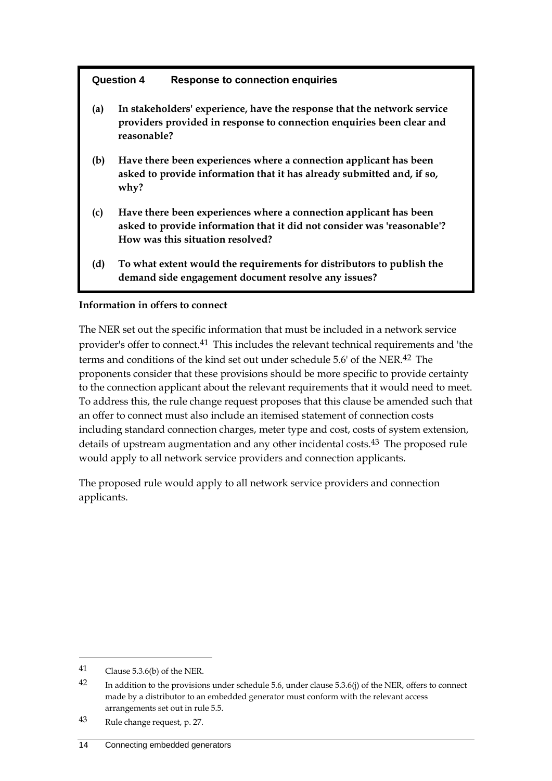#### **Question 4 Response to connection enquiries**

- **(a) In stakeholders' experience, have the response that the network service providers provided in response to connection enquiries been clear and reasonable?**
- **(b) Have there been experiences where a connection applicant has been asked to provide information that it has already submitted and, if so, why?**
- **(c) Have there been experiences where a connection applicant has been asked to provide information that it did not consider was 'reasonable'? How was this situation resolved?**
- **(d) To what extent would the requirements for distributors to publish the demand side engagement document resolve any issues?**

#### **Information in offers to connect**

The NER set out the specific information that must be included in a network service provider's offer to connect.41 This includes the relevant technical requirements and 'the terms and conditions of the kind set out under schedule 5.6' of the NER.42 The proponents consider that these provisions should be more specific to provide certainty to the connection applicant about the relevant requirements that it would need to meet. To address this, the rule change request proposes that this clause be amended such that an offer to connect must also include an itemised statement of connection costs including standard connection charges, meter type and cost, costs of system extension, details of upstream augmentation and any other incidental costs.43 The proposed rule would apply to all network service providers and connection applicants.

The proposed rule would apply to all network service providers and connection applicants.

<sup>41</sup> Clause 5.3.6(b) of the NER.

<sup>&</sup>lt;sup>42</sup> In addition to the provisions under schedule 5.6, under clause 5.3.6(j) of the NER, offers to connect made by a distributor to an embedded generator must conform with the relevant access arrangements set out in rule 5.5.

<sup>43</sup> Rule change request, p. 27.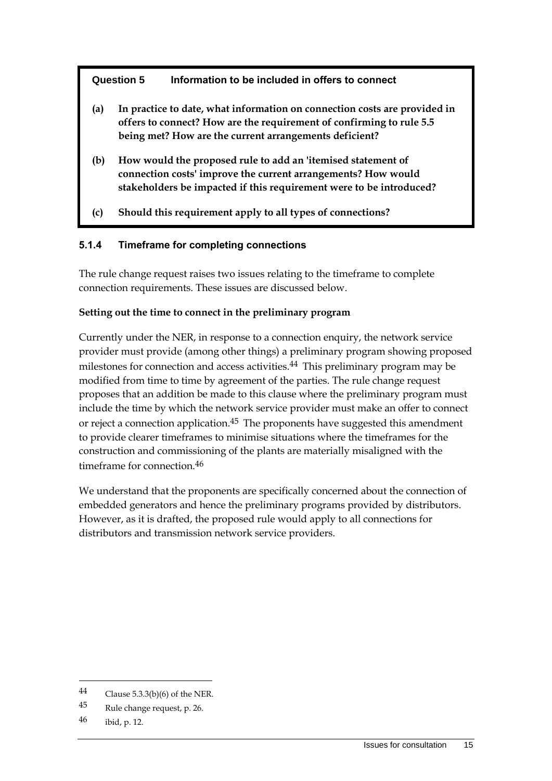#### **Question 5 Information to be included in offers to connect**

- **(a) In practice to date, what information on connection costs are provided in offers to connect? How are the requirement of confirming to rule 5.5 being met? How are the current arrangements deficient?**
- **(b) How would the proposed rule to add an 'itemised statement of connection costs' improve the current arrangements? How would stakeholders be impacted if this requirement were to be introduced?**
- **(c) Should this requirement apply to all types of connections?**

#### **5.1.4 Timeframe for completing connections**

The rule change request raises two issues relating to the timeframe to complete connection requirements. These issues are discussed below.

#### **Setting out the time to connect in the preliminary program**

Currently under the NER, in response to a connection enquiry, the network service provider must provide (among other things) a preliminary program showing proposed milestones for connection and access activities.44 This preliminary program may be modified from time to time by agreement of the parties. The rule change request proposes that an addition be made to this clause where the preliminary program must include the time by which the network service provider must make an offer to connect or reject a connection application.<sup>45</sup> The proponents have suggested this amendment to provide clearer timeframes to minimise situations where the timeframes for the construction and commissioning of the plants are materially misaligned with the timeframe for connection.46

We understand that the proponents are specifically concerned about the connection of embedded generators and hence the preliminary programs provided by distributors. However, as it is drafted, the proposed rule would apply to all connections for distributors and transmission network service providers.

<sup>44</sup> Clause 5.3.3(b)(6) of the NER.

<sup>45</sup> Rule change request, p. 26.

 $46$  ibid, p. 12.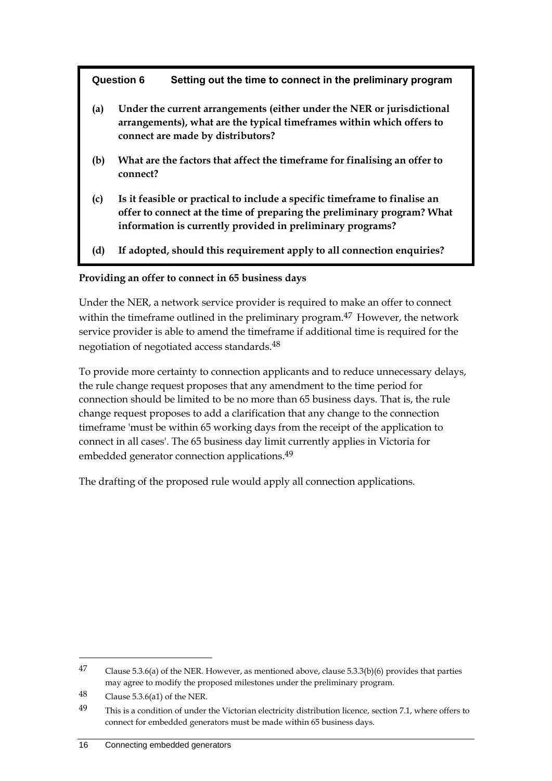#### **Question 6 Setting out the time to connect in the preliminary program**

- **(a) Under the current arrangements (either under the NER or jurisdictional arrangements), what are the typical timeframes within which offers to connect are made by distributors?**
- **(b) What are the factors that affect the timeframe for finalising an offer to connect?**
- **(c) Is it feasible or practical to include a specific timeframe to finalise an offer to connect at the time of preparing the preliminary program? What information is currently provided in preliminary programs?**
- **(d) If adopted, should this requirement apply to all connection enquiries?**

#### **Providing an offer to connect in 65 business days**

Under the NER, a network service provider is required to make an offer to connect within the timeframe outlined in the preliminary program.<sup>47</sup> However, the network service provider is able to amend the timeframe if additional time is required for the negotiation of negotiated access standards.48

To provide more certainty to connection applicants and to reduce unnecessary delays, the rule change request proposes that any amendment to the time period for connection should be limited to be no more than 65 business days. That is, the rule change request proposes to add a clarification that any change to the connection timeframe 'must be within 65 working days from the receipt of the application to connect in all cases'. The 65 business day limit currently applies in Victoria for embedded generator connection applications.<sup>49</sup>

The drafting of the proposed rule would apply all connection applications.

<sup>47</sup> Clause 5.3.6(a) of the NER. However, as mentioned above, clause 5.3.3(b)(6) provides that parties may agree to modify the proposed milestones under the preliminary program.

<sup>48</sup> Clause 5.3.6(a1) of the NER.

<sup>49</sup> This is a condition of under the Victorian electricity distribution licence, section 7.1, where offers to connect for embedded generators must be made within 65 business days.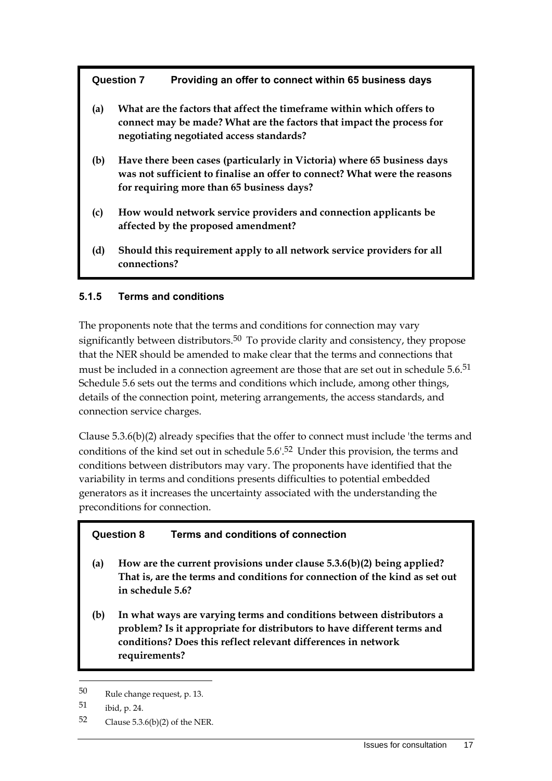#### **Question 7 Providing an offer to connect within 65 business days**

- **(a) What are the factors that affect the timeframe within which offers to connect may be made? What are the factors that impact the process for negotiating negotiated access standards?**
- **(b) Have there been cases (particularly in Victoria) where 65 business days was not sufficient to finalise an offer to connect? What were the reasons for requiring more than 65 business days?**
- **(c) How would network service providers and connection applicants be affected by the proposed amendment?**
- **(d) Should this requirement apply to all network service providers for all connections?**

#### **5.1.5 Terms and conditions**

The proponents note that the terms and conditions for connection may vary significantly between distributors.<sup>50</sup> To provide clarity and consistency, they propose that the NER should be amended to make clear that the terms and connections that must be included in a connection agreement are those that are set out in schedule 5.6.<sup>51</sup> Schedule 5.6 sets out the terms and conditions which include, among other things, details of the connection point, metering arrangements, the access standards, and connection service charges.

Clause 5.3.6(b)(2) already specifies that the offer to connect must include 'the terms and conditions of the kind set out in schedule 5.6'.52 Under this provision, the terms and conditions between distributors may vary. The proponents have identified that the variability in terms and conditions presents difficulties to potential embedded generators as it increases the uncertainty associated with the understanding the preconditions for connection.

#### **Question 8 Terms and conditions of connection**

- **(a) How are the current provisions under clause 5.3.6(b)(2) being applied? That is, are the terms and conditions for connection of the kind as set out in schedule 5.6?**
- **(b) In what ways are varying terms and conditions between distributors a problem? Is it appropriate for distributors to have different terms and conditions? Does this reflect relevant differences in network requirements?**

<sup>50</sup> Rule change request, p. 13.

<sup>51</sup> ibid, p. 24.

<sup>52</sup> Clause 5.3.6(b)(2) of the NER.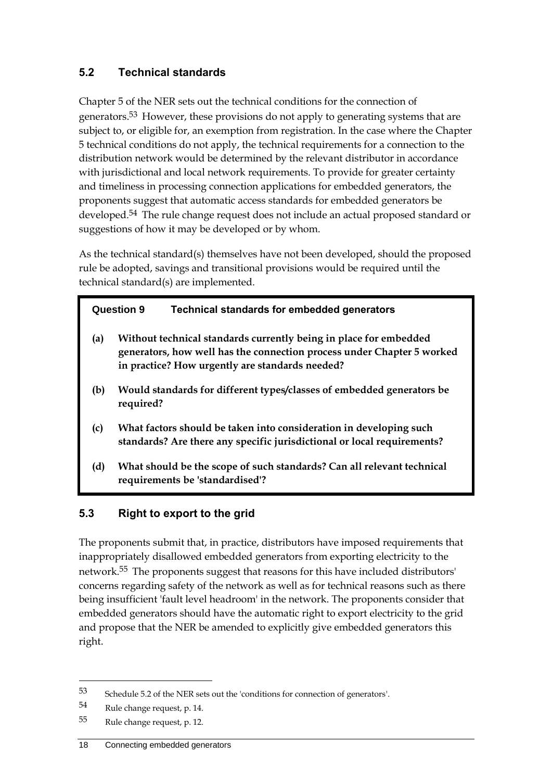## <span id="page-21-0"></span>**5.2 Technical standards**

Chapter 5 of the NER sets out the technical conditions for the connection of generators.<sup>53</sup> However, these provisions do not apply to generating systems that are subject to, or eligible for, an exemption from registration. In the case where the Chapter 5 technical conditions do not apply, the technical requirements for a connection to the distribution network would be determined by the relevant distributor in accordance with jurisdictional and local network requirements. To provide for greater certainty and timeliness in processing connection applications for embedded generators, the proponents suggest that automatic access standards for embedded generators be developed.54 The rule change request does not include an actual proposed standard or suggestions of how it may be developed or by whom.

As the technical standard(s) themselves have not been developed, should the proposed rule be adopted, savings and transitional provisions would be required until the technical standard(s) are implemented.

#### **Question 9 Technical standards for embedded generators**

- **(a) Without technical standards currently being in place for embedded generators, how well has the connection process under Chapter 5 worked in practice? How urgently are standards needed?**
- **(b) Would standards for different types/classes of embedded generators be required?**
- **(c) What factors should be taken into consideration in developing such standards? Are there any specific jurisdictional or local requirements?**
- **(d) What should be the scope of such standards? Can all relevant technical requirements be 'standardised'?**

## <span id="page-21-1"></span>**5.3 Right to export to the grid**

The proponents submit that, in practice, distributors have imposed requirements that inappropriately disallowed embedded generators from exporting electricity to the network.55 The proponents suggest that reasons for this have included distributors' concerns regarding safety of the network as well as for technical reasons such as there being insufficient 'fault level headroom' in the network. The proponents consider that embedded generators should have the automatic right to export electricity to the grid and propose that the NER be amended to explicitly give embedded generators this right.

<sup>53</sup> Schedule 5.2 of the NER sets out the 'conditions for connection of generators'.

<sup>54</sup> Rule change request, p. 14.

<sup>55</sup> Rule change request, p. 12.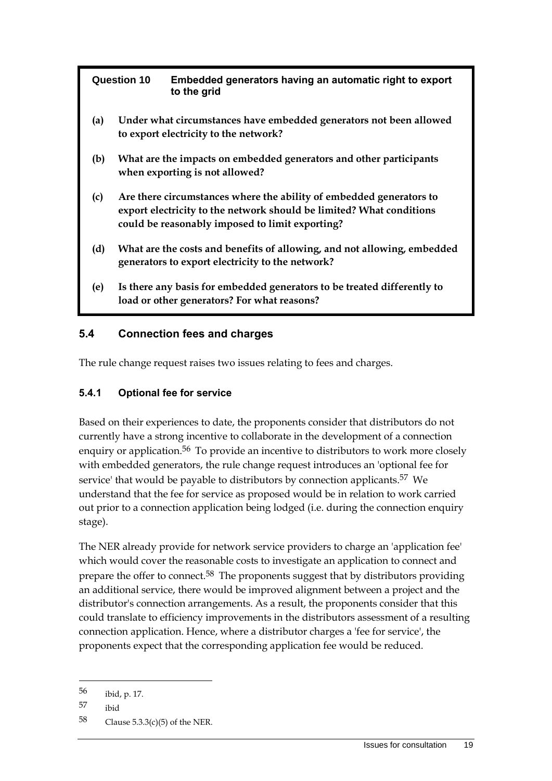| <b>Question 10</b> | Embedded generators having an automatic right to export<br>to the arid |
|--------------------|------------------------------------------------------------------------|
|                    |                                                                        |

- **(a) Under what circumstances have embedded generators not been allowed to export electricity to the network?**
- **(b) What are the impacts on embedded generators and other participants when exporting is not allowed?**
- **(c) Are there circumstances where the ability of embedded generators to export electricity to the network should be limited? What conditions could be reasonably imposed to limit exporting?**
- **(d) What are the costs and benefits of allowing, and not allowing, embedded generators to export electricity to the network?**
- **(e) Is there any basis for embedded generators to be treated differently to load or other generators? For what reasons?**

## <span id="page-22-0"></span>**5.4 Connection fees and charges**

The rule change request raises two issues relating to fees and charges.

## **5.4.1 Optional fee for service**

Based on their experiences to date, the proponents consider that distributors do not currently have a strong incentive to collaborate in the development of a connection enquiry or application.<sup>56</sup> To provide an incentive to distributors to work more closely with embedded generators, the rule change request introduces an 'optional fee for service' that would be payable to distributors by connection applicants.<sup>57</sup> We understand that the fee for service as proposed would be in relation to work carried out prior to a connection application being lodged (i.e. during the connection enquiry stage).

The NER already provide for network service providers to charge an 'application fee' which would cover the reasonable costs to investigate an application to connect and prepare the offer to connect.58 The proponents suggest that by distributors providing an additional service, there would be improved alignment between a project and the distributor's connection arrangements. As a result, the proponents consider that this could translate to efficiency improvements in the distributors assessment of a resulting connection application. Hence, where a distributor charges a 'fee for service', the proponents expect that the corresponding application fee would be reduced.

<sup>56</sup> ibid, p. 17.

<sup>57</sup> ibid

<sup>58</sup> Clause 5.3.3(c)(5) of the NER.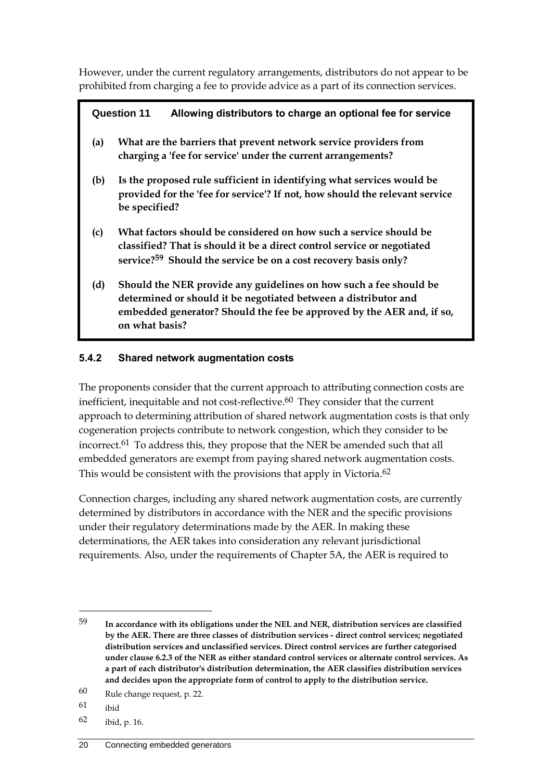However, under the current regulatory arrangements, distributors do not appear to be prohibited from charging a fee to provide advice as a part of its connection services.

### **Question 11 Allowing distributors to charge an optional fee for service**

- **(a) What are the barriers that prevent network service providers from charging a 'fee for service' under the current arrangements?**
- **(b) Is the proposed rule sufficient in identifying what services would be provided for the 'fee for service'? If not, how should the relevant service be specified?**
- **(c) What factors should be considered on how such a service should be classified? That is should it be a direct control service or negotiated service?59 Should the service be on a cost recovery basis only?**
- **(d) Should the NER provide any guidelines on how such a fee should be determined or should it be negotiated between a distributor and embedded generator? Should the fee be approved by the AER and, if so, on what basis?**

### **5.4.2 Shared network augmentation costs**

The proponents consider that the current approach to attributing connection costs are inefficient, inequitable and not cost-reflective.<sup>60</sup> They consider that the current approach to determining attribution of shared network augmentation costs is that only cogeneration projects contribute to network congestion, which they consider to be incorrect.<sup>61</sup> To address this, they propose that the NER be amended such that all embedded generators are exempt from paying shared network augmentation costs. This would be consistent with the provisions that apply in Victoria.<sup>62</sup>

Connection charges, including any shared network augmentation costs, are currently determined by distributors in accordance with the NER and the specific provisions under their regulatory determinations made by the AER. In making these determinations, the AER takes into consideration any relevant jurisdictional requirements. Also, under the requirements of Chapter 5A, the AER is required to

61 ibid

<u>.</u>

62 ibid, p. 16.

<sup>59</sup> **In accordance with its obligations under the NEL and NER, distribution services are classified by the AER. There are three classes of distribution services - direct control services; negotiated distribution services and unclassified services. Direct control services are further categorised under clause 6.2.3 of the NER as either standard control services or alternate control services. As a part of each distributor's distribution determination, the AER classifies distribution services and decides upon the appropriate form of control to apply to the distribution service.**

<sup>60</sup> Rule change request, p. 22.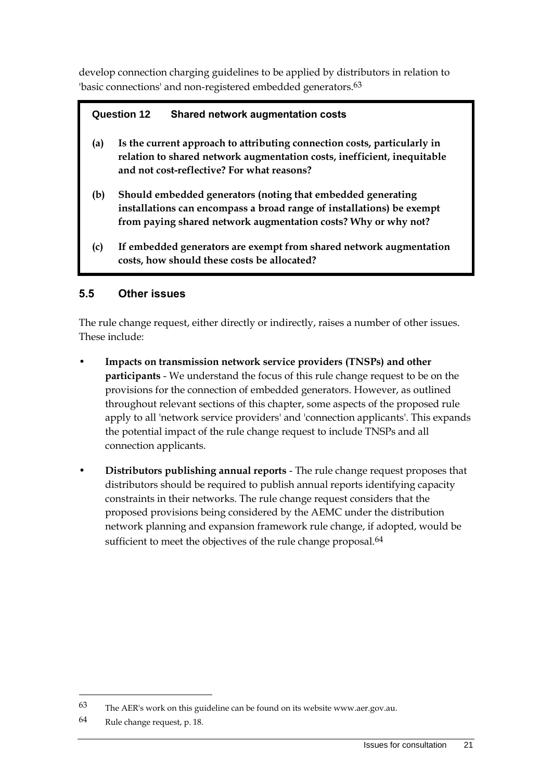develop connection charging guidelines to be applied by distributors in relation to 'basic connections' and non-registered embedded generators.<sup>63</sup>

### **Question 12 Shared network augmentation costs**

- **(a) Is the current approach to attributing connection costs, particularly in relation to shared network augmentation costs, inefficient, inequitable and not cost-reflective? For what reasons?**
- **(b) Should embedded generators (noting that embedded generating installations can encompass a broad range of installations) be exempt from paying shared network augmentation costs? Why or why not?**
- **(c) If embedded generators are exempt from shared network augmentation costs, how should these costs be allocated?**

## <span id="page-24-0"></span>**5.5 Other issues**

The rule change request, either directly or indirectly, raises a number of other issues. These include:

- **Impacts on transmission network service providers (TNSPs) and other participants** - We understand the focus of this rule change request to be on the provisions for the connection of embedded generators. However, as outlined throughout relevant sections of this chapter, some aspects of the proposed rule apply to all 'network service providers' and 'connection applicants'. This expands the potential impact of the rule change request to include TNSPs and all connection applicants.
- **Distributors publishing annual reports** The rule change request proposes that distributors should be required to publish annual reports identifying capacity constraints in their networks. The rule change request considers that the proposed provisions being considered by the AEMC under the distribution network planning and expansion framework rule change, if adopted, would be sufficient to meet the objectives of the rule change proposal.<sup>64</sup>

<sup>63</sup> The AER's work on this guideline can be found on its website www.aer.gov.au.

<sup>64</sup> Rule change request, p. 18.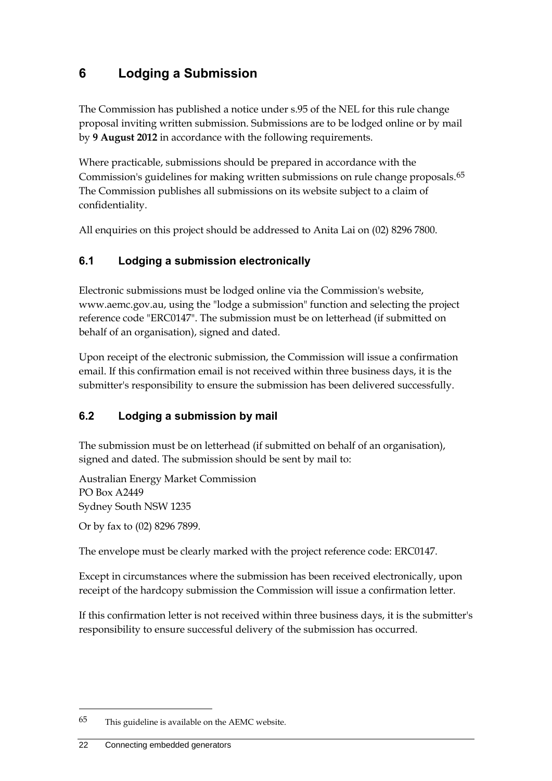## <span id="page-25-0"></span>**6 Lodging a Submission**

The Commission has published a notice under s.95 of the NEL for this rule change proposal inviting written submission. Submissions are to be lodged online or by mail by **9 August 2012** in accordance with the following requirements.

Where practicable, submissions should be prepared in accordance with the Commission's guidelines for making written submissions on rule change proposals.65 The Commission publishes all submissions on its website subject to a claim of confidentiality.

All enquiries on this project should be addressed to Anita Lai on (02) 8296 7800.

## <span id="page-25-1"></span>**6.1 Lodging a submission electronically**

Electronic submissions must be lodged online via the Commission's website, www.aemc.gov.au, using the "lodge a submission" function and selecting the project reference code "ERC0147". The submission must be on letterhead (if submitted on behalf of an organisation), signed and dated.

Upon receipt of the electronic submission, the Commission will issue a confirmation email. If this confirmation email is not received within three business days, it is the submitter's responsibility to ensure the submission has been delivered successfully.

## <span id="page-25-2"></span>**6.2 Lodging a submission by mail**

The submission must be on letterhead (if submitted on behalf of an organisation), signed and dated. The submission should be sent by mail to:

Australian Energy Market Commission PO Box A2449 Sydney South NSW 1235

Or by fax to (02) 8296 7899.

The envelope must be clearly marked with the project reference code: ERC0147.

Except in circumstances where the submission has been received electronically, upon receipt of the hardcopy submission the Commission will issue a confirmation letter.

If this confirmation letter is not received within three business days, it is the submitter's responsibility to ensure successful delivery of the submission has occurred.

 $65$  This guideline is available on the AEMC website.